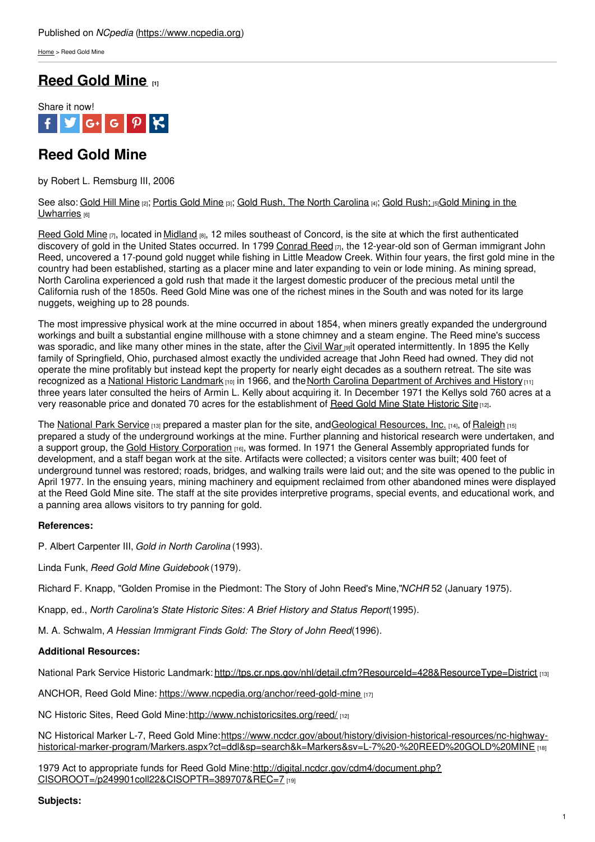[Home](https://www.ncpedia.org/) > Reed Gold Mine

## **[Reed](https://www.ncpedia.org/reed-gold-mine) Gold Mine [1]**



# **Reed Gold Mine**

by Robert L. Remsburg III, 2006

#### See also: [Gold](https://www.ncpedia.org/gold-hill-mine) Hill Mine [2]; [Portis](https://www.ncpedia.org/portis-gold-mine) Gold Mine [3]; Gold Rush, The North [Carolina](https://www.ncpedia.org/industry/gold-rush) [4]; Gold [Rush;](https://www.ncpedia.org/gold-rush) [5]Gold Mining in the [Uwharries](https://www.ncpedia.org/industry/gold-uwharries) [6]

[Reed](http://www.nchistoricsites.org/reed/history.htm) Gold Mine [7], located in [Midland](http://www.townofmidland.us/) [8], 12 miles southeast of Concord, is the site at which the first authenticated discovery of gold in the United States occurred. In 1799 [Conrad](http://www.nchistoricsites.org/reed/history.htm) Reed [7], the 12-year-old son of German immigrant John Reed, uncovered a 17-pound gold nugget while fishing in Little Meadow Creek. Within four years, the first gold mine in the country had been established, starting as a [placer](http://www.social9.com) mine and later expanding to vein or lode mining. As mining spread, North Carolina experienced a gold rush that made it the largest domestic producer of the precious metal until the California rush of the 1850s. Reed Gold Mine was one of the richest mines in the South and was noted for its large nuggets, weighing up to 28 pounds.

The most impressive physical work at the mine occurred in about 1854, when miners greatly expanded the underground workings and built a substantial engine millhouse with a stone chimney and a steam engine. The Reed mine's success was sporadic, and like many other mines in the state, after the [Civil](https://www.ncpedia.org/civil-war) War [9] it operated intermittently. In 1895 the Kelly family of Springfield, Ohio, purchased almost exactly the undivided acreage that John Reed had owned. They did not operate the mine profitably but instead kept the property for nearly eight decades as a southern retreat. The site was recognized as a National Historic [Landmark](https://www.nps.gov/history/history/online_books/founders/sitec33.htm) [10] in 1966, and the North Carolina [Department](http://www.history.ncdcr.gov/) of Archives and History [11] three years later consulted the heirs of Armin L. Kelly about acquiring it. In December 1971 the Kellys sold 760 acres at a very reasonable price and donated 70 acres for the establishment of Reed Gold Mine State [Historic](http://www.nchistoricsites.org/reed/) Site[12].

The [National](http://tps.cr.nps.gov/nhl/detail.cfm?ResourceId=428&ResourceType=District) Park Service [13] prepared a master plan for the site, andGeological [Resources,](http://www.geologicalresourcesinc.com/) Inc. [14], of [Raleigh](https://www.ncpedia.org/geography/raleigh) [15] prepared a study of the underground workings at the mine. Further planning and historical research were undertaken, and a support group, the Gold History [Corporation](http://www.ncgoldhistory.com/) [16], was formed. In 1971 the General Assembly appropriated funds for development, and a staff began work at the site. Artifacts were collected; a visitors center was built; 400 feet of underground tunnel was restored; roads, bridges, and walking trails were laid out; and the site was opened to the public in April 1977. In the ensuing years, mining machinery and equipment reclaimed from other abandoned mines were displayed at the Reed Gold Mine site. The staff at the site provides interpretive programs, special events, and educational work, and a panning area allows visitors to try panning for gold.

### **References:**

P. Albert Carpenter III, *Gold in North Carolina* (1993).

Linda Funk, *Reed Gold Mine Guidebook* (1979).

Richard F. Knapp, "Golden Promise in the Piedmont: The Story of John Reed's Mine,"*NCHR* 52 (January 1975).

Knapp, ed., *North Carolina's State Historic Sites: A Brief History and Status Report*(1995).

M. A. Schwalm, *A Hessian Immigrant Finds Gold: The Story of John Reed*(1996).

### **Additional Resources:**

National Park Service Historic Landmark: <http://tps.cr.nps.gov/nhl/detail.cfm?ResourceId=428&ResourceType=District> [13]

ANCHOR, Reed Gold Mine: <https://www.ncpedia.org/anchor/reed-gold-mine> [17]

NC Historic Sites, Reed Gold Mine:<http://www.nchistoricsites.org/reed/> [12]

NC Historical Marker L-7, Reed Gold Mine:https://www.ncdcr.gov/about/history/division-historical-resources/nc-highway[historical-marker-program/Markers.aspx?ct=ddl&sp=search&k=Markers&sv=L-7%20-%20REED%20GOLD%20MINE](https://www.ncdcr.gov/about/history/division-historical-resources/nc-highway-historical-marker-program/Markers.aspx?ct=ddl&sp=search&k=Markers&sv=L-7 - REED GOLD MINE) [18]

1979 Act to appropriate funds for Reed Gold Mine: http://digital.ncdcr.gov/cdm4/document.php? [CISOROOT=/p249901coll22&CISOPTR=389707&REC=7](http://digital.ncdcr.gov/cdm4/document.php?CISOROOT=/p249901coll22&CISOPTR=389707&REC=7) [19]

#### **Subjects:**